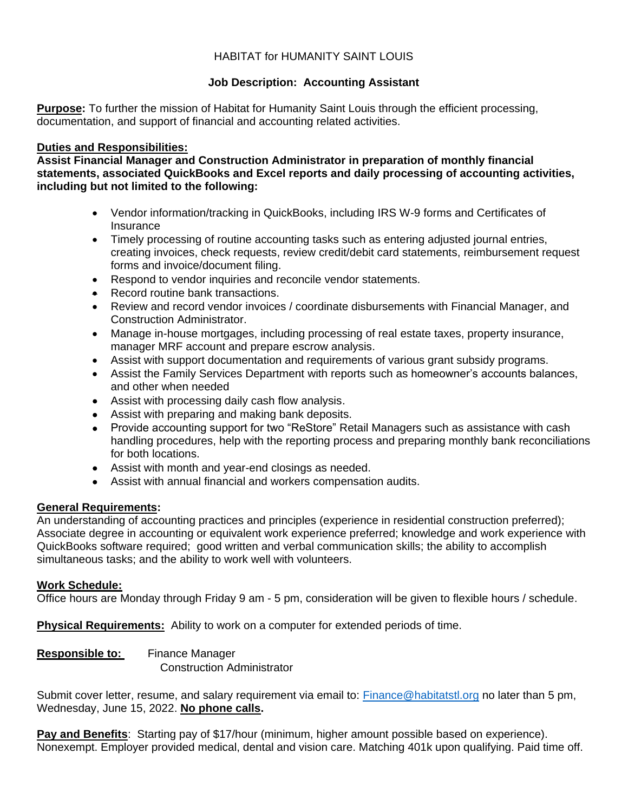# HABITAT for HUMANITY SAINT LOUIS

# **Job Description: Accounting Assistant**

**Purpose:** To further the mission of Habitat for Humanity Saint Louis through the efficient processing, documentation, and support of financial and accounting related activities.

#### **Duties and Responsibilities:**

**Assist Financial Manager and Construction Administrator in preparation of monthly financial statements, associated QuickBooks and Excel reports and daily processing of accounting activities, including but not limited to the following:**

- Vendor information/tracking in QuickBooks, including IRS W-9 forms and Certificates of Insurance
- Timely processing of routine accounting tasks such as entering adjusted journal entries, creating invoices, check requests, review credit/debit card statements, reimbursement request forms and invoice/document filing.
- Respond to vendor inquiries and reconcile vendor statements.
- Record routine bank transactions.
- Review and record vendor invoices / coordinate disbursements with Financial Manager, and Construction Administrator.
- Manage in-house mortgages, including processing of real estate taxes, property insurance, manager MRF account and prepare escrow analysis.
- Assist with support documentation and requirements of various grant subsidy programs.
- Assist the Family Services Department with reports such as homeowner's accounts balances, and other when needed
- Assist with processing daily cash flow analysis.
- Assist with preparing and making bank deposits.
- Provide accounting support for two "ReStore" Retail Managers such as assistance with cash handling procedures, help with the reporting process and preparing monthly bank reconciliations for both locations.
- Assist with month and year-end closings as needed.
- Assist with annual financial and workers compensation audits.

## **General Requirements:**

An understanding of accounting practices and principles (experience in residential construction preferred); Associate degree in accounting or equivalent work experience preferred; knowledge and work experience with QuickBooks software required; good written and verbal communication skills; the ability to accomplish simultaneous tasks; and the ability to work well with volunteers.

## **Work Schedule:**

Office hours are Monday through Friday 9 am - 5 pm, consideration will be given to flexible hours / schedule.

**Physical Requirements:** Ability to work on a computer for extended periods of time.

**Responsible to:** Finance Manager Construction Administrator

Submit cover letter, resume, and salary requirement via email to: [Finance@habitatstl.org](mailto:Finance@habitatstl.org) no later than 5 pm, Wednesday, June 15, 2022. **No phone calls.**

**Pay and Benefits**: Starting pay of \$17/hour (minimum, higher amount possible based on experience). Nonexempt. Employer provided medical, dental and vision care. Matching 401k upon qualifying. Paid time off.